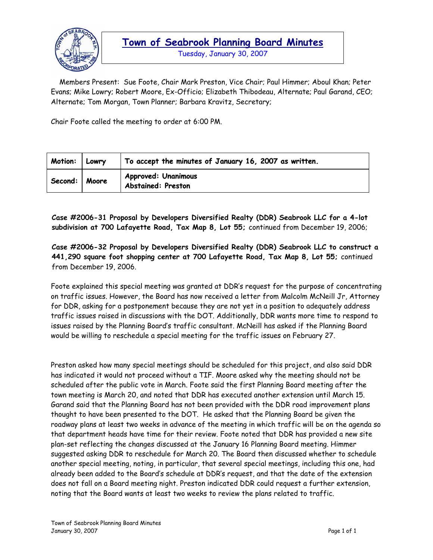

Tuesday, January 30, 2007

 Members Present: Sue Foote, Chair Mark Preston, Vice Chair; Paul Himmer; Aboul Khan; Peter Evans; Mike Lowry; Robert Moore, Ex-Officio; Elizabeth Thibodeau, Alternate; Paul Garand, CEO; Alternate; Tom Morgan, Town Planner; Barbara Kravitz, Secretary;

Chair Foote called the meeting to order at 6:00 PM.

| <b>Motion:</b> | Lowry | $\vert$ To accept the minutes of January 16, 2007 as written. |
|----------------|-------|---------------------------------------------------------------|
| Second:        | Moore | <b>Approved: Unanimous</b><br><b>Abstained: Preston</b>       |

**Case #2006-31 Proposal by Developers Diversified Realty (DDR) Seabrook LLC for a 4-lot subdivision at 700 Lafayette Road, Tax Map 8, Lot 55;** continued from December 19, 2006;

**Case #2006-32 Proposal by Developers Diversified Realty (DDR) Seabrook LLC to construct a 441,290 square foot shopping center at 700 Lafayette Road, Tax Map 8, Lot 55;** continued from December 19, 2006.

Foote explained this special meeting was granted at DDR's request for the purpose of concentrating on traffic issues. However, the Board has now received a letter from Malcolm McNeill Jr, Attorney for DDR, asking for a postponement because they are not yet in a position to adequately address traffic issues raised in discussions with the DOT. Additionally, DDR wants more time to respond to issues raised by the Planning Board's traffic consultant. McNeill has asked if the Planning Board would be willing to reschedule a special meeting for the traffic issues on February 27.

Preston asked how many special meetings should be scheduled for this project, and also said DDR has indicated it would not proceed without a TIF. Moore asked why the meeting should not be scheduled after the public vote in March. Foote said the first Planning Board meeting after the town meeting is March 20, and noted that DDR has executed another extension until March 15. Garand said that the Planning Board has not been provided with the DDR road improvement plans thought to have been presented to the DOT. He asked that the Planning Board be given the roadway plans at least two weeks in advance of the meeting in which traffic will be on the agenda so that department heads have time for their review. Foote noted that DDR has provided a new site plan-set reflecting the changes discussed at the January 16 Planning Board meeting. Himmer suggested asking DDR to reschedule for March 20. The Board then discussed whether to schedule another special meeting, noting, in particular, that several special meetings, including this one, had already been added to the Board's schedule at DDR's request, and that the date of the extension does not fall on a Board meeting night. Preston indicated DDR could request a further extension, noting that the Board wants at least two weeks to review the plans related to traffic.